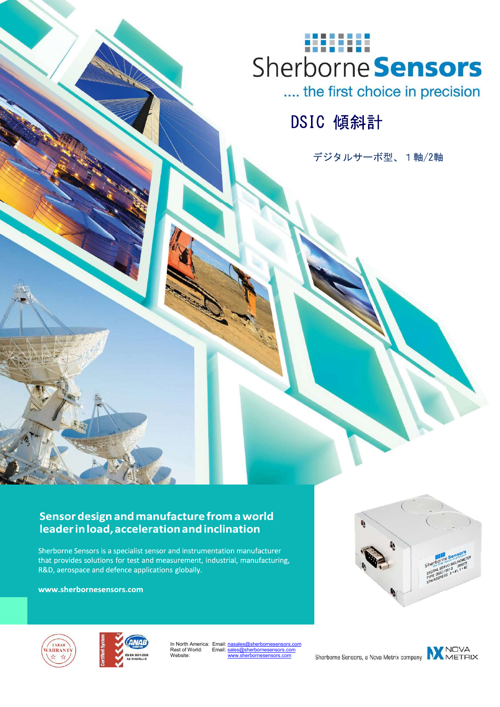

.... the first choice in precision

DSIC 傾斜計

デジタルサーボ型、1軸/2軸

### Sensor design and manufacture from a world leader in load, acceleration and inclination

Sherborne Sensors is a specialist sensor and instrumentation manufacturer that provides solutions for test and measurement, industrial, manufacturing, R&D, aerospace and defence applications globally.

DSIC Digital Servo Inclinometer

www.sherbornesensors.com







In North America: Email: Rest of World: ............<br>Website:

Sherborne Sensors, a Nova Metrix company

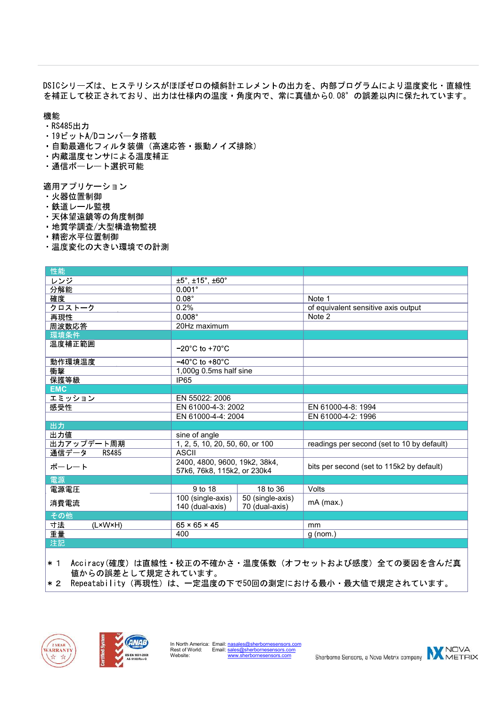DSICシリーズは、ヒステリシスがほぼゼロの傾斜計エレメントの出力を、内部プログラムにより温度変化·直線性 を補正して校正されており、出力は仕様内の温度·角度内で、常に真値から0.08°の誤差以内に保たれています。

機能<br>· RS485出力

- · 19ビットA/Dコンバータ搭載
- ・自動最適化フィルタ装備(高速応答・振動ノイズ排除)<br>・内蔵温度センサによる温度補正
- 
- ・通信ボーレート選択可能

適用アプリケーション<br>・火器位置制御

- 
- ・鉄道レール監視
- 天体望遠鏡等の角度制御
- 地質学調査/大型構造物監視
- 精密水平位置制御
- ・温度変化の大きい環境での計測

| 性能                    |                                                              |                                    |                                            |
|-----------------------|--------------------------------------------------------------|------------------------------------|--------------------------------------------|
| レンジ                   | $±5^\circ, ±15^\circ, ±60^\circ$                             |                                    |                                            |
| 分解能                   | $0.001^{\circ}$                                              |                                    |                                            |
| 確度                    | $0.08^\circ$                                                 |                                    | Note 1                                     |
| クロストーク                | 0.2%                                                         |                                    | of equivalent sensitive axis output        |
| 再現性                   | $0.008^\circ$                                                |                                    | Note 2                                     |
| 周波数応答                 | 20Hz maximum                                                 |                                    |                                            |
| 環境条件                  |                                                              |                                    |                                            |
| 温度補正範囲                | $-20^{\circ}$ C to $+70^{\circ}$ C                           |                                    |                                            |
| 動作環境温度                | $-40^{\circ}$ C to $+80^{\circ}$ C                           |                                    |                                            |
| 衝撃                    | 1,000g 0.5ms half sine                                       |                                    |                                            |
| 保護等級                  | <b>IP65</b>                                                  |                                    |                                            |
| <b>EMC</b>            |                                                              |                                    |                                            |
| エミッション                | EN 55022: 2006                                               |                                    |                                            |
| 感受性                   | EN 61000-4-3: 2002                                           |                                    | EN 61000-4-8: 1994                         |
|                       | EN 61000-4-4: 2004                                           |                                    | EN 61000-4-2: 1996                         |
| 出力                    |                                                              |                                    |                                            |
| 出力値                   | sine of angle                                                |                                    |                                            |
| 出力アップデート周期            | 1, 2, 5, 10, 20, 50, 60, or 100                              |                                    | readings per second (set to 10 by default) |
| 通信データ<br><b>RS485</b> | <b>ASCII</b>                                                 |                                    |                                            |
| ボーレート                 | 2400, 4800, 9600, 19k2, 38k4,<br>57k6, 76k8, 115k2, or 230k4 |                                    | bits per second (set to 115k2 by default)  |
| 電源                    |                                                              |                                    |                                            |
| 電源電圧                  | 9 to 18                                                      | 18 to 36                           | Volts                                      |
| 消費電流                  | 100 (single-axis)<br>140 (dual-axis)                         | 50 (single-axis)<br>70 (dual-axis) | mA (max.)                                  |
| その他                   |                                                              |                                    |                                            |
| 寸法<br>(L×W×H)         | $65 \times 65 \times 45$                                     |                                    | mm                                         |
| 重量                    | 400                                                          |                                    | $g$ (nom.)                                 |
| 注記                    |                                                              |                                    |                                            |

 $\vert * 1 \vert$ Acciracy (確度) は直線性・校正の不確かさ・温度係数(オフセットおよび感度)全ての要因を含んだ真 植からの誤差として規定されています。<br>※2 Repeatability(再現性)は、一定温度の下で50回の測定における最小・最大値で規定されています。





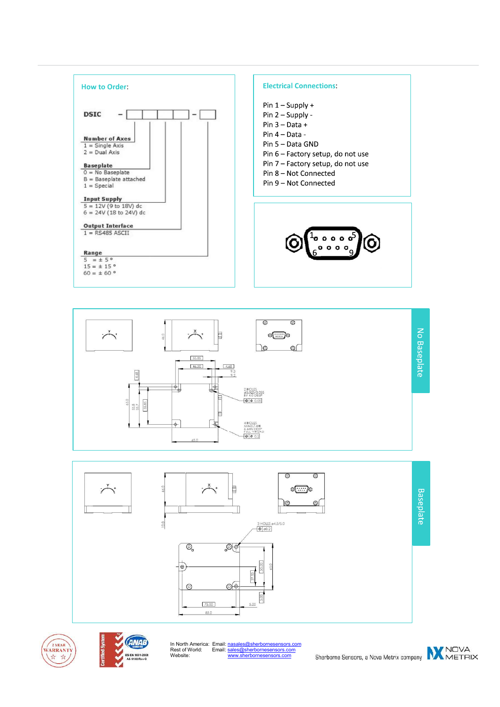









In North America: Email: nasales@sherbornesensors.com Rest of World: Email: sales@sherbornesensors.com Website: www.sherbornesensors.com